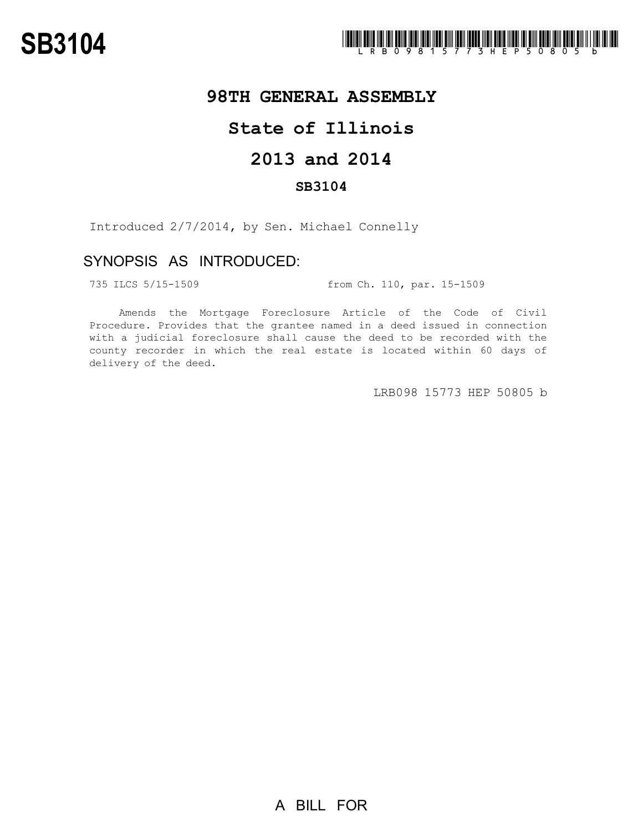## **98TH GENERAL ASSEMBLY**

# **State of Illinois**

# **2013 and 2014**

### **SB3104**

Introduced 2/7/2014, by Sen. Michael Connelly

## SYNOPSIS AS INTRODUCED:

735 ILCS 5/15-1509 from Ch. 110, par. 15-1509

Amends the Mortgage Foreclosure Article of the Code of Civil Procedure. Provides that the grantee named in a deed issued in connection with a judicial foreclosure shall cause the deed to be recorded with the county recorder in which the real estate is located within 60 days of delivery of the deed.

LRB098 15773 HEP 50805 b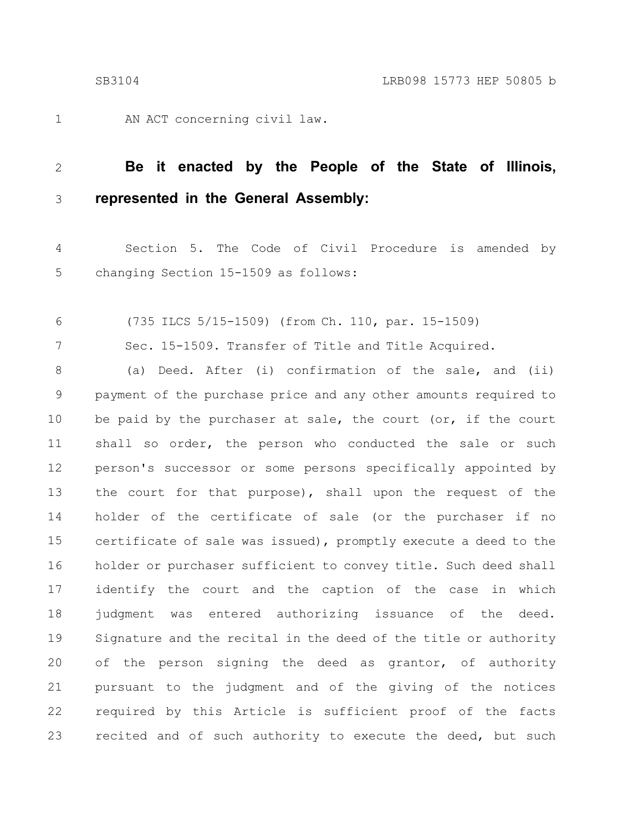1

7

AN ACT concerning civil law.

#### **Be it enacted by the People of the State of Illinois, represented in the General Assembly:** 2 3

Section 5. The Code of Civil Procedure is amended by changing Section 15-1509 as follows: 4 5

(735 ILCS 5/15-1509) (from Ch. 110, par. 15-1509) 6

Sec. 15-1509. Transfer of Title and Title Acquired.

(a) Deed. After (i) confirmation of the sale, and (ii) payment of the purchase price and any other amounts required to be paid by the purchaser at sale, the court (or, if the court shall so order, the person who conducted the sale or such person's successor or some persons specifically appointed by the court for that purpose), shall upon the request of the holder of the certificate of sale (or the purchaser if no certificate of sale was issued), promptly execute a deed to the holder or purchaser sufficient to convey title. Such deed shall identify the court and the caption of the case in which judgment was entered authorizing issuance of the deed. Signature and the recital in the deed of the title or authority of the person signing the deed as grantor, of authority pursuant to the judgment and of the giving of the notices required by this Article is sufficient proof of the facts recited and of such authority to execute the deed, but such 8 9 10 11 12 13 14 15 16 17 18 19 20 21 22 23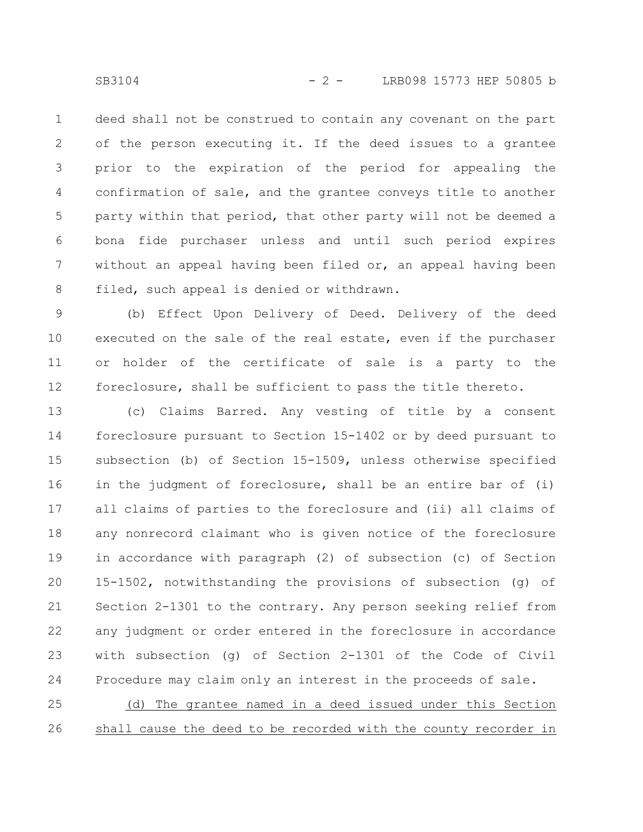deed shall not be construed to contain any covenant on the part of the person executing it. If the deed issues to a grantee prior to the expiration of the period for appealing the confirmation of sale, and the grantee conveys title to another party within that period, that other party will not be deemed a bona fide purchaser unless and until such period expires without an appeal having been filed or, an appeal having been filed, such appeal is denied or withdrawn. 1 2 3 4 5 6 7 8

(b) Effect Upon Delivery of Deed. Delivery of the deed executed on the sale of the real estate, even if the purchaser or holder of the certificate of sale is a party to the foreclosure, shall be sufficient to pass the title thereto. 9 10 11 12

(c) Claims Barred. Any vesting of title by a consent foreclosure pursuant to Section 15-1402 or by deed pursuant to subsection (b) of Section 15-1509, unless otherwise specified in the judgment of foreclosure, shall be an entire bar of (i) all claims of parties to the foreclosure and (ii) all claims of any nonrecord claimant who is given notice of the foreclosure in accordance with paragraph (2) of subsection (c) of Section 15-1502, notwithstanding the provisions of subsection (g) of Section 2-1301 to the contrary. Any person seeking relief from any judgment or order entered in the foreclosure in accordance with subsection (g) of Section 2-1301 of the Code of Civil Procedure may claim only an interest in the proceeds of sale. 13 14 15 16 17 18 19 20 21 22 23 24

(d) The grantee named in a deed issued under this Section shall cause the deed to be recorded with the county recorder in 25 26